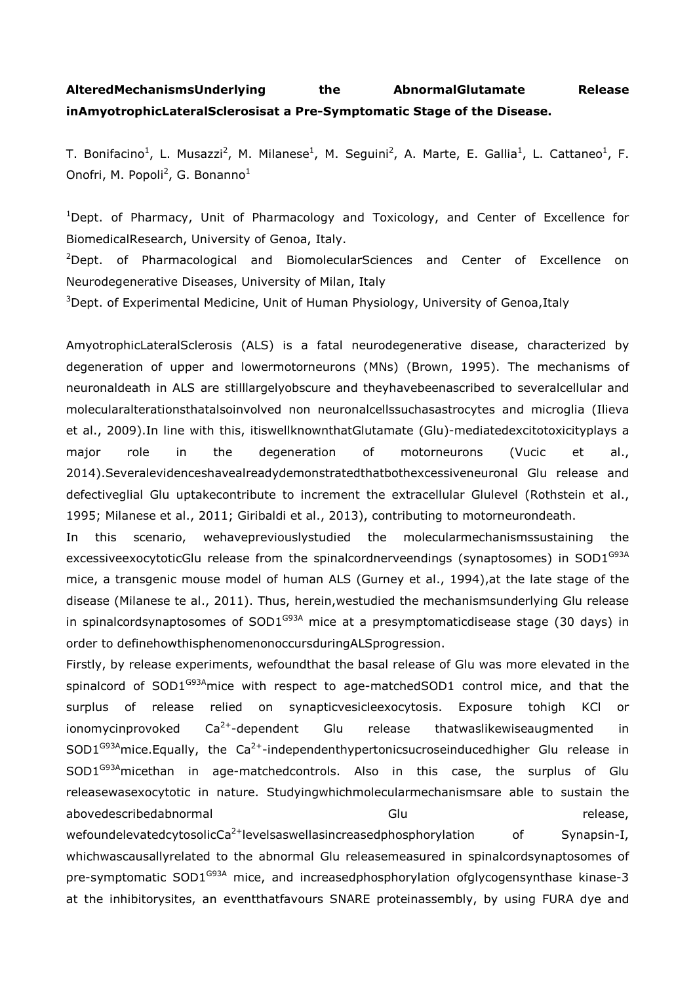## AlteredMechanismsUnderlying the AbnormalGlutamate Release inAmyotrophicLateralSclerosisat a Pre-Symptomatic Stage of the Disease.

T. Bonifacino<sup>1</sup>, L. Musazzi<sup>2</sup>, M. Milanese<sup>1</sup>, M. Seguini<sup>2</sup>, A. Marte, E. Gallia<sup>1</sup>, L. Cattaneo<sup>1</sup>, F. Onofri, M. Popoli<sup>2</sup>, G. Bonanno<sup>1</sup>

<sup>1</sup>Dept. of Pharmacy, Unit of Pharmacology and Toxicology, and Center of Excellence for BiomedicalResearch, University of Genoa, Italy.

<sup>2</sup>Dept. of Pharmacological and BiomolecularSciences and Center of Excellence on Neurodegenerative Diseases, University of Milan, Italy

<sup>3</sup>Dept. of Experimental Medicine, Unit of Human Physiology, University of Genoa, Italy

AmyotrophicLateralSclerosis (ALS) is a fatal neurodegenerative disease, characterized by degeneration of upper and lowermotorneurons (MNs) (Brown, 1995). The mechanisms of neuronaldeath in ALS are stilllargelyobscure and theyhavebeenascribed to severalcellular and molecularalterationsthatalsoinvolved non neuronalcellssuchasastrocytes and microglia (Ilieva et al., 2009).In line with this, itiswellknownthatGlutamate (Glu)-mediatedexcitotoxicityplays a major role in the degeneration of motorneurons (Vucic et al., 2014).Severalevidenceshavealreadydemonstratedthatbothexcessiveneuronal Glu release and defectiveglial Glu uptakecontribute to increment the extracellular Glulevel (Rothstein et al., 1995; Milanese et al., 2011; Giribaldi et al., 2013), contributing to motorneurondeath.

In this scenario, wehavepreviouslystudied the molecularmechanismssustaining the excessiveexocytoticGlu release from the spinalcordnerveendings (synaptosomes) in SOD1<sup>G93A</sup> mice, a transgenic mouse model of human ALS (Gurney et al., 1994),at the late stage of the disease (Milanese te al., 2011). Thus, herein,westudied the mechanismsunderlying Glu release in spinalcordsynaptosomes of  $SOD1<sup>G93A</sup>$  mice at a presymptomaticdisease stage (30 days) in order to definehowthisphenomenonoccursduringALSprogression.

Firstly, by release experiments, wefoundthat the basal release of Glu was more elevated in the spinalcord of SOD1<sup>G93A</sup>mice with respect to age-matchedSOD1 control mice, and that the surplus of release relied on synapticvesicleexocytosis. Exposure tohigh KCl or ionomycinprovoked  $Ca^{2+}$ -dependent Glu release thatwaslikewiseaugmented in  $SOD1<sup>G93A</sup>$ mice.Equally, the Ca<sup>2+</sup>-independenthypertonicsucroseinducedhigher Glu release in SOD1<sup>G93A</sup>micethan in age-matchedcontrols. Also in this case, the surplus of Glu releasewasexocytotic in nature. Studyingwhichmolecularmechanismsare able to sustain the abovedescribedabnormal Glu release, wefoundelevatedcytosolicCa<sup>2+</sup>levelsaswellasincreasedphosphorylation of Synapsin-I, whichwascausallyrelated to the abnormal Glu releasemeasured in spinalcordsynaptosomes of pre-symptomatic  $SOD1^{G93A}$  mice, and increasedphosphorylation ofglycogensynthase kinase-3 at the inhibitorysites, an eventthatfavours SNARE proteinassembly, by using FURA dye and